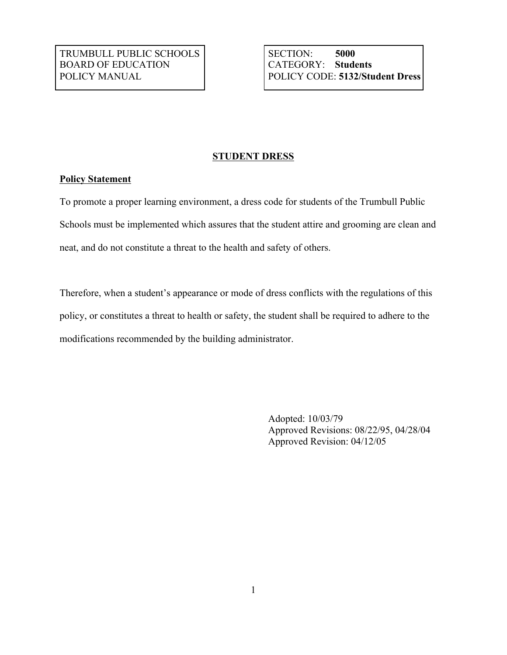## **STUDENT DRESS**

## **Policy Statement**

To promote a proper learning environment, a dress code for students of the Trumbull Public Schools must be implemented which assures that the student attire and grooming are clean and neat, and do not constitute a threat to the health and safety of others.

Therefore, when a student's appearance or mode of dress conflicts with the regulations of this policy, or constitutes a threat to health or safety, the student shall be required to adhere to the modifications recommended by the building administrator.

> Adopted: 10/03/79 Approved Revisions: 08/22/95, 04/28/04 Approved Revision: 04/12/05